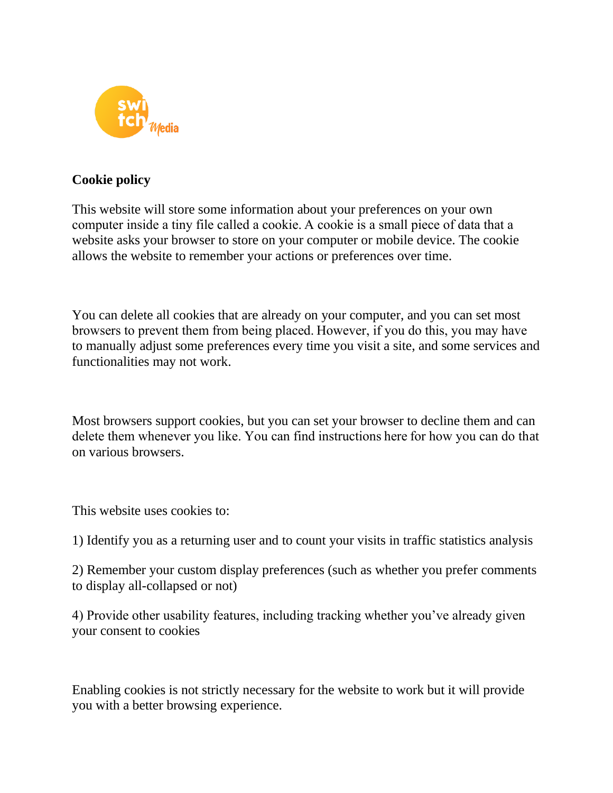

## **Cookie policy**

This website will store some information about your preferences on your own computer inside a tiny file called a cookie. A cookie is a small piece of data that a website asks your browser to store on your computer or mobile device. The cookie allows the website to remember your actions or preferences over time.

You can delete all cookies that are already on your computer, and you can set most browsers to prevent them from being placed. However, if you do this, you may have to manually adjust some preferences every time you visit a site, and some services and functionalities may not work.

Most browsers support cookies, but you can set your browser to decline them and can delete them whenever you like. You can find instructions here for how you can do that on various browsers.

This website uses cookies to:

1) Identify you as a returning user and to count your visits in traffic statistics analysis

2) Remember your custom display preferences (such as whether you prefer comments to display all-collapsed or not)

4) Provide other usability features, including tracking whether you've already given your consent to cookies

Enabling cookies is not strictly necessary for the website to work but it will provide you with a better browsing experience.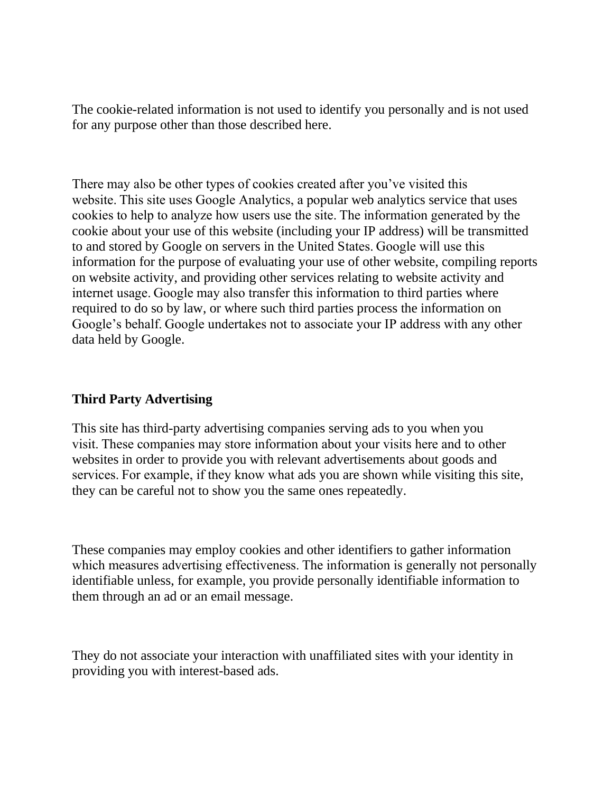The cookie-related information is not used to identify you personally and is not used for any purpose other than those described here.

There may also be other types of cookies created after you've visited this website. This site uses Google Analytics, a popular web analytics service that uses cookies to help to analyze how users use the site. The information generated by the cookie about your use of this website (including your IP address) will be transmitted to and stored by Google on servers in the United States. Google will use this information for the purpose of evaluating your use of other website, compiling reports on website activity, and providing other services relating to website activity and internet usage. Google may also transfer this information to third parties where required to do so by law, or where such third parties process the information on Google's behalf. Google undertakes not to associate your IP address with any other data held by Google.

## **Third Party Advertising**

This site has third-party advertising companies serving ads to you when you visit. These companies may store information about your visits here and to other websites in order to provide you with relevant advertisements about goods and services. For example, if they know what ads you are shown while visiting this site, they can be careful not to show you the same ones repeatedly.

These companies may employ cookies and other identifiers to gather information which measures advertising effectiveness. The information is generally not personally identifiable unless, for example, you provide personally identifiable information to them through an ad or an email message.

They do not associate your interaction with unaffiliated sites with your identity in providing you with interest-based ads.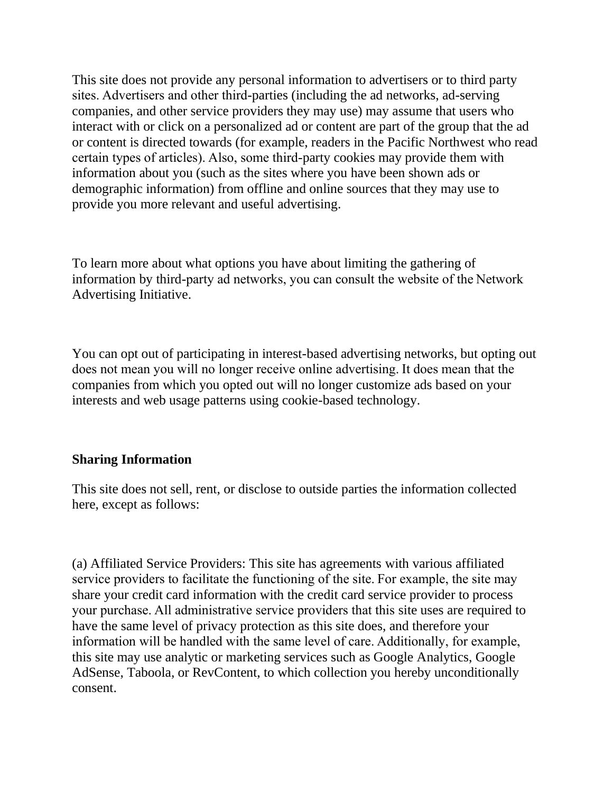This site does not provide any personal information to advertisers or to third party sites. Advertisers and other third-parties (including the ad networks, ad-serving companies, and other service providers they may use) may assume that users who interact with or click on a personalized ad or content are part of the group that the ad or content is directed towards (for example, readers in the Pacific Northwest who read certain types of articles). Also, some third-party cookies may provide them with information about you (such as the sites where you have been shown ads or demographic information) from offline and online sources that they may use to provide you more relevant and useful advertising.

To learn more about what options you have about limiting the gathering of information by third-party ad networks, you can consult the website of the Network Advertising Initiative.

You can opt out of participating in interest-based advertising networks, but opting out does not mean you will no longer receive online advertising. It does mean that the companies from which you opted out will no longer customize ads based on your interests and web usage patterns using cookie-based technology.

## **Sharing Information**

This site does not sell, rent, or disclose to outside parties the information collected here, except as follows:

(a) Affiliated Service Providers: This site has agreements with various affiliated service providers to facilitate the functioning of the site. For example, the site may share your credit card information with the credit card service provider to process your purchase. All administrative service providers that this site uses are required to have the same level of privacy protection as this site does, and therefore your information will be handled with the same level of care. Additionally, for example, this site may use analytic or marketing services such as Google Analytics, Google AdSense, Taboola, or RevContent, to which collection you hereby unconditionally consent.